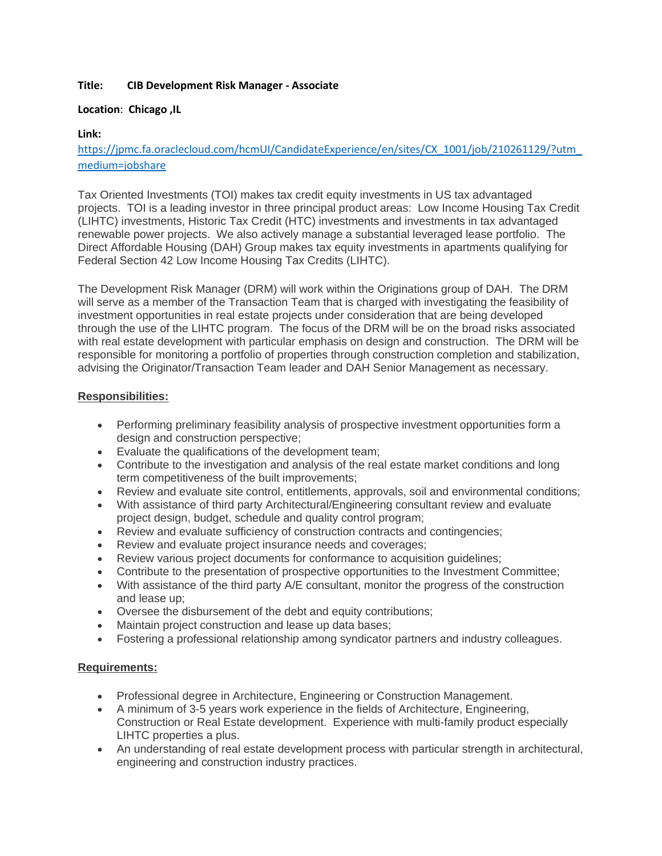# **Title: CIB Development Risk Manager - Associate**

# **Location**: **Chicago ,IL**

# **Link:**

[https://jpmc.fa.oraclecloud.com/hcmUI/CandidateExperience/en/sites/CX\\_1001/job/210261129/?utm\\_](https://jpmc.fa.oraclecloud.com/hcmUI/CandidateExperience/en/sites/CX_1001/job/210261129/?utm_medium=jobshare) [medium=jobshare](https://jpmc.fa.oraclecloud.com/hcmUI/CandidateExperience/en/sites/CX_1001/job/210261129/?utm_medium=jobshare)

Tax Oriented Investments (TOI) makes tax credit equity investments in US tax advantaged projects. TOI is a leading investor in three principal product areas: Low Income Housing Tax Credit (LIHTC) investments, Historic Tax Credit (HTC) investments and investments in tax advantaged renewable power projects. We also actively manage a substantial leveraged lease portfolio. The Direct Affordable Housing (DAH) Group makes tax equity investments in apartments qualifying for Federal Section 42 Low Income Housing Tax Credits (LIHTC).

The Development Risk Manager (DRM) will work within the Originations group of DAH. The DRM will serve as a member of the Transaction Team that is charged with investigating the feasibility of investment opportunities in real estate projects under consideration that are being developed through the use of the LIHTC program. The focus of the DRM will be on the broad risks associated with real estate development with particular emphasis on design and construction. The DRM will be responsible for monitoring a portfolio of properties through construction completion and stabilization, advising the Originator/Transaction Team leader and DAH Senior Management as necessary.

# **Responsibilities:**

- Performing preliminary feasibility analysis of prospective investment opportunities form a design and construction perspective;
- Evaluate the qualifications of the development team;
- Contribute to the investigation and analysis of the real estate market conditions and long term competitiveness of the built improvements;
- Review and evaluate site control, entitlements, approvals, soil and environmental conditions;
- With assistance of third party Architectural/Engineering consultant review and evaluate project design, budget, schedule and quality control program;
- Review and evaluate sufficiency of construction contracts and contingencies;
- Review and evaluate project insurance needs and coverages;
- Review various project documents for conformance to acquisition guidelines;
- Contribute to the presentation of prospective opportunities to the Investment Committee;
- With assistance of the third party A/E consultant, monitor the progress of the construction and lease up;
- Oversee the disbursement of the debt and equity contributions;
- Maintain project construction and lease up data bases;
- Fostering a professional relationship among syndicator partners and industry colleagues.

# **Requirements:**

- Professional degree in Architecture, Engineering or Construction Management.
- A minimum of 3-5 years work experience in the fields of Architecture, Engineering, Construction or Real Estate development. Experience with multi-family product especially LIHTC properties a plus.
- An understanding of real estate development process with particular strength in architectural, engineering and construction industry practices.